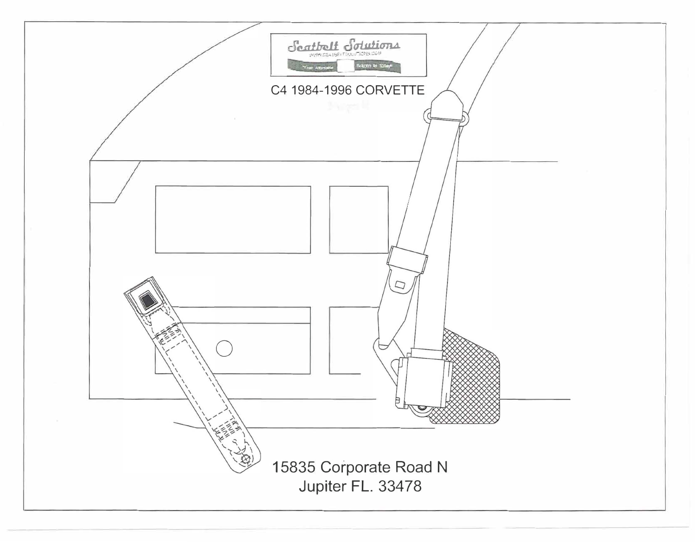